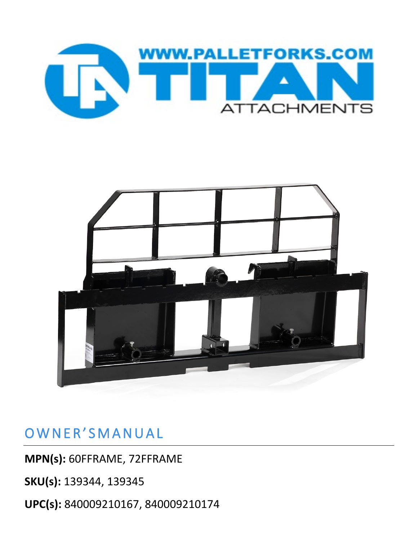



### OWNER'SMANUAL

**MPN(s):** 60FFRAME, 72FFRAME

**SKU(s):** 139344, 139345

**UPC(s):** 840009210167, 840009210174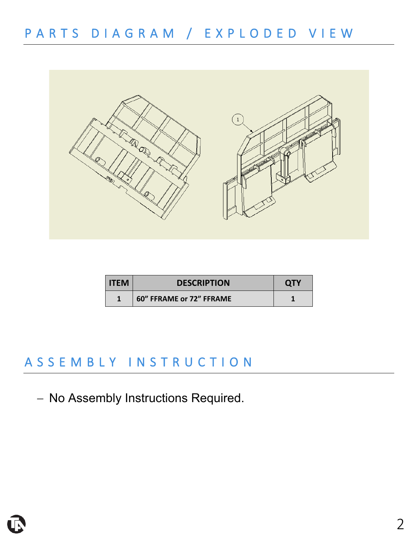

| l ITEM | <b>DESCRIPTION</b>       | <b>OTY</b> |
|--------|--------------------------|------------|
|        | 60" FFRAME or 72" FFRAME |            |

## ASSEMBLY INSTRUCTIO N

− No Assembly Instructions Required.